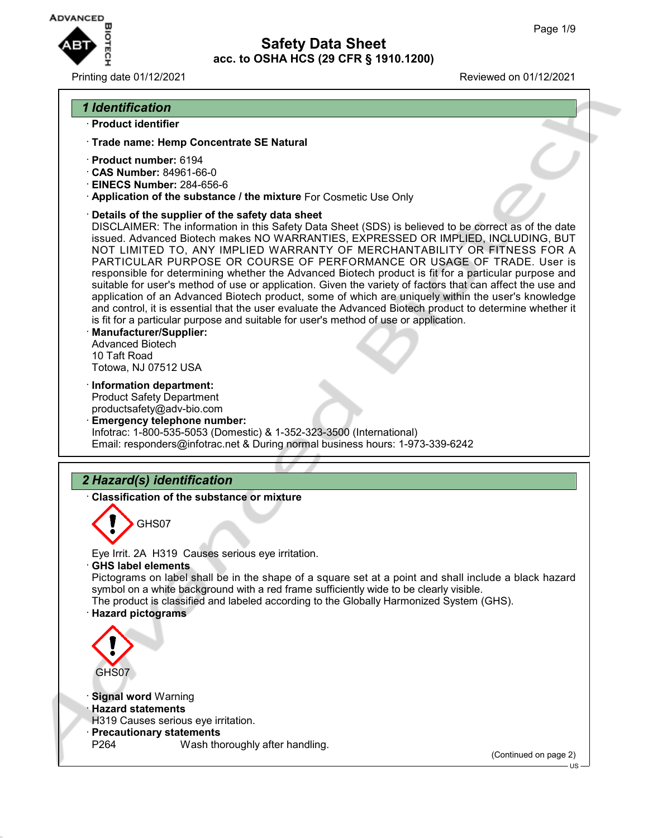

### Printing date 01/12/2021 Reviewed on 01/12/2021

### *1 Identification*

#### · **Product identifier**

- · **Trade name: Hemp Concentrate SE Natural**
- · **Product number:** 6194
- · **CAS Number:** 84961-66-0
- · **EINECS Number:** 284-656-6
- · **Application of the substance / the mixture** For Cosmetic Use Only
- · **Details of the supplier of the safety data sheet**

DISCLAIMER: The information in this Safety Data Sheet (SDS) is believed to be correct as of the date issued. Advanced Biotech makes NO WARRANTIES, EXPRESSED OR IMPLIED, INCLUDING, BUT NOT LIMITED TO, ANY IMPLIED WARRANTY OF MERCHANTABILITY OR FITNESS FOR A PARTICULAR PURPOSE OR COURSE OF PERFORMANCE OR USAGE OF TRADE. User is responsible for determining whether the Advanced Biotech product is fit for a particular purpose and suitable for user's method of use or application. Given the variety of factors that can affect the use and application of an Advanced Biotech product, some of which are uniquely within the user's knowledge and control, it is essential that the user evaluate the Advanced Biotech product to determine whether it is fit for a particular purpose and suitable for user's method of use or application.

- · **Manufacturer/Supplier:** Advanced Biotech 10 Taft Road Totowa, NJ 07512 USA
- · **Information department:**

Product Safety Department productsafety@adv-bio.com

· **Emergency telephone number:** Infotrac: 1-800-535-5053 (Domestic) & 1-352-323-3500 (International) Email: responders@infotrac.net & During normal business hours: 1-973-339-6242

# *2 Hazard(s) identification*

· **Classification of the substance or mixture**



Eye Irrit. 2A H319 Causes serious eye irritation.

· **GHS label elements**

Pictograms on label shall be in the shape of a square set at a point and shall include a black hazard symbol on a white background with a red frame sufficiently wide to be clearly visible. The product is classified and labeled according to the Globally Harmonized System (GHS). · **Hazard pictograms**



· **Signal word** Warning

#### · **Hazard statements**

- H319 Causes serious eye irritation.
- · **Precautionary statements**

P264 Wash thoroughly after handling.

(Continued on page 2)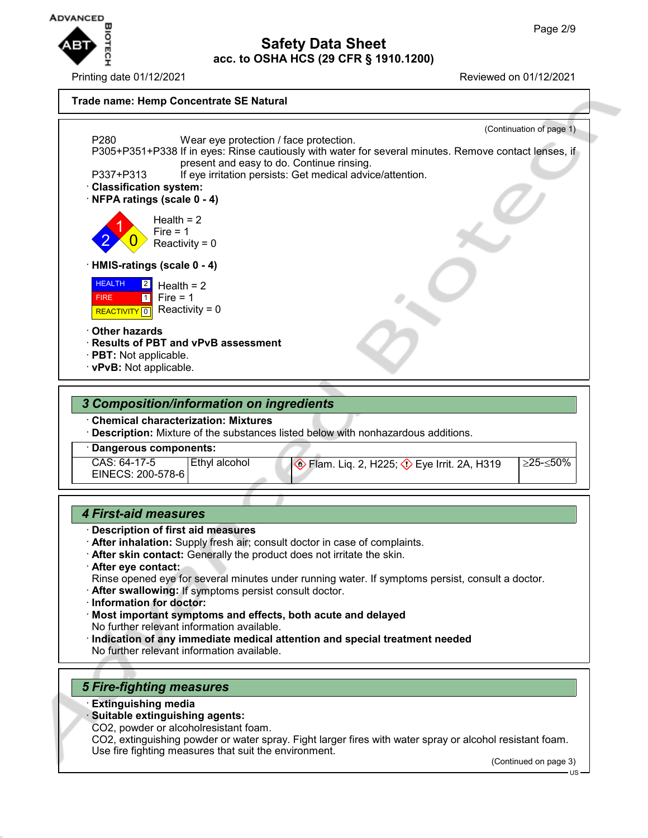

Printing date 01/12/2021 Reviewed on 01/12/2021

## **Safety Data Sheet acc. to OSHA HCS (29 CFR § 1910.1200)**

#### **Trade name: Hemp Concentrate SE Natural**



### *3 Composition/information on ingredients*

· **Chemical characterization: Mixtures**

· **Description:** Mixture of the substances listed below with nonhazardous additions.

· **Dangerous components:**

| CAS: 64-17-5<br>EINECS: 200-578-6 | 'Ethvl alcohol | ♦ | ≥25-≤50% |
|-----------------------------------|----------------|---|----------|
|-----------------------------------|----------------|---|----------|

### *4 First-aid measures*

- · **Description of first aid measures**
- · **After inhalation:** Supply fresh air; consult doctor in case of complaints.
- · **After skin contact:** Generally the product does not irritate the skin.
- · **After eye contact:**

Rinse opened eye for several minutes under running water. If symptoms persist, consult a doctor.

- · **After swallowing:** If symptoms persist consult doctor.
- · **Information for doctor:**
- · **Most important symptoms and effects, both acute and delayed** No further relevant information available.
- · **Indication of any immediate medical attention and special treatment needed** No further relevant information available.

## *5 Fire-fighting measures*

- · **Extinguishing media**
- · **Suitable extinguishing agents:**

CO2, powder or alcoholresistant foam.

CO2, extinguishing powder or water spray. Fight larger fires with water spray or alcohol resistant foam. Use fire fighting measures that suit the environment.

(Continued on page 3)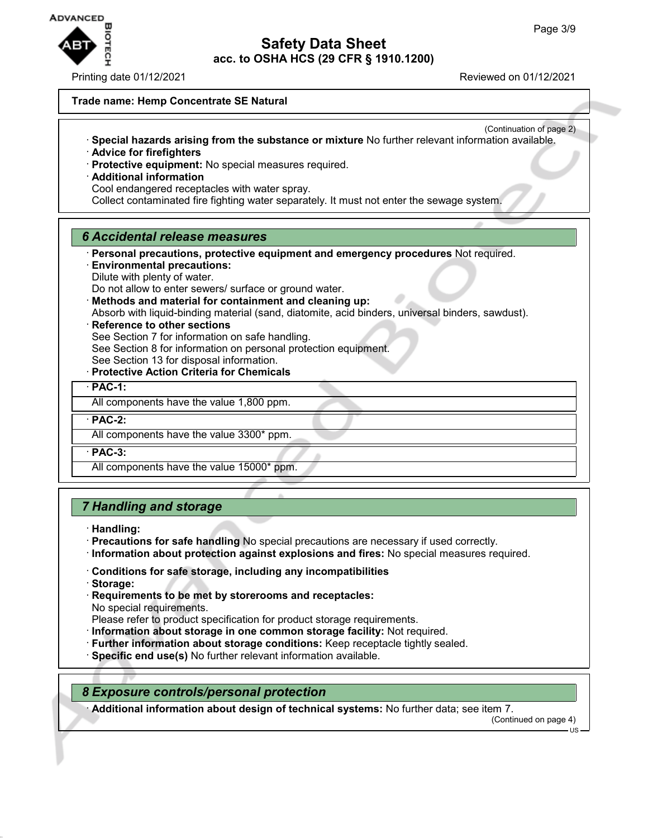

Printing date 01/12/2021 **Reviewed on 01/12/2021** 

#### **Trade name: Hemp Concentrate SE Natural**

- (Continuation of page 2) · **Special hazards arising from the substance or mixture** No further relevant information available.
- · **Advice for firefighters**
- · **Protective equipment:** No special measures required.
- · **Additional information** Cool endangered receptacles with water spray.

Collect contaminated fire fighting water separately. It must not enter the sewage system.

### *6 Accidental release measures*

· **Personal precautions, protective equipment and emergency procedures** Not required.

- · **Environmental precautions:** Dilute with plenty of water. Do not allow to enter sewers/ surface or ground water.
- · **Methods and material for containment and cleaning up:**

Absorb with liquid-binding material (sand, diatomite, acid binders, universal binders, sawdust).

**Reference to other sections** 

See Section 7 for information on safe handling.

See Section 8 for information on personal protection equipment.

See Section 13 for disposal information.

· **Protective Action Criteria for Chemicals**

· **PAC-1:**

All components have the value 1,800 ppm.

· **PAC-2:**

All components have the value 3300\* ppm.

· **PAC-3:**

All components have the value 15000\* ppm.

## *7 Handling and storage*

- · **Handling:**
- · **Precautions for safe handling** No special precautions are necessary if used correctly.
- · **Information about protection against explosions and fires:** No special measures required.
- · **Conditions for safe storage, including any incompatibilities**
- · **Storage:**
- · **Requirements to be met by storerooms and receptacles:** No special requirements.

Please refer to product specification for product storage requirements.

- · **Information about storage in one common storage facility:** Not required.
- · **Further information about storage conditions:** Keep receptacle tightly sealed.
- · **Specific end use(s)** No further relevant information available.

### *8 Exposure controls/personal protection*

· **Additional information about design of technical systems:** No further data; see item 7.

(Continued on page 4)

US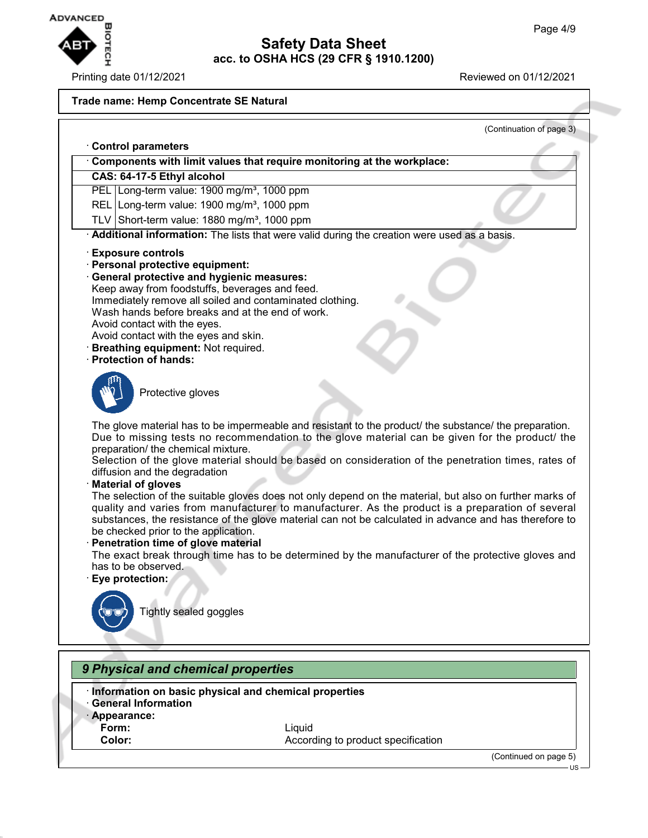

### Printing date 01/12/2021 Reviewed on 01/12/2021

#### **Trade name: Hemp Concentrate SE Natural**

(Continuation of page 3) · **Control parameters** · **Components with limit values that require monitoring at the workplace: CAS: 64-17-5 Ethyl alcohol** PEL Long-term value: 1900 mg/m<sup>3</sup>, 1000 ppm REL Long-term value: 1900 mg/m<sup>3</sup>, 1000 ppm TLV Short-term value:  $1880$  mg/m<sup>3</sup>, 1000 ppm Additional information: The lists that were valid during the creation were used as a basis. · **Exposure controls** · **Personal protective equipment:** · **General protective and hygienic measures:** Keep away from foodstuffs, beverages and feed. Immediately remove all soiled and contaminated clothing. Wash hands before breaks and at the end of work. Avoid contact with the eyes. Avoid contact with the eyes and skin. · **Breathing equipment:** Not required. · **Protection of hands:** Protective gloves The glove material has to be impermeable and resistant to the product/ the substance/ the preparation. Due to missing tests no recommendation to the glove material can be given for the product/ the preparation/ the chemical mixture. Selection of the glove material should be based on consideration of the penetration times, rates of diffusion and the degradation · **Material of gloves** The selection of the suitable gloves does not only depend on the material, but also on further marks of quality and varies from manufacturer to manufacturer. As the product is a preparation of several substances, the resistance of the glove material can not be calculated in advance and has therefore to be checked prior to the application. · **Penetration time of glove material** The exact break through time has to be determined by the manufacturer of the protective gloves and has to be observed. · **Eye protection:** Tightly sealed goggles *9 Physical and chemical properties* · **Information on basic physical and chemical properties** · **General Information**

- · **Appearance:**
- 
- 

**Form:** Liquid **Color:** According to product specification

(Continued on page 5)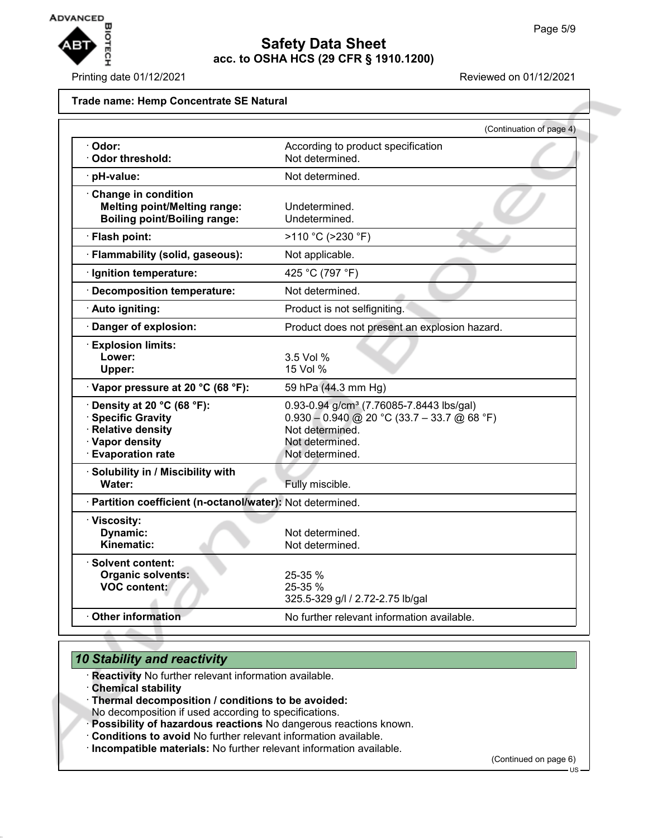

Printing date 01/12/2021 Reviewed on 01/12/2021

#### **Trade name: Hemp Concentrate SE Natural**

|                                                                                                                             | (Continuation of page 4)                                                                                                                                       |
|-----------------------------------------------------------------------------------------------------------------------------|----------------------------------------------------------------------------------------------------------------------------------------------------------------|
| · Odor:<br>Odor threshold:                                                                                                  | According to product specification<br>Not determined.                                                                                                          |
| · pH-value:                                                                                                                 | Not determined.                                                                                                                                                |
| Change in condition<br><b>Melting point/Melting range:</b><br><b>Boiling point/Boiling range:</b>                           | Undetermined.<br>Undetermined.                                                                                                                                 |
| · Flash point:                                                                                                              | >110 °C (>230 °F)                                                                                                                                              |
| · Flammability (solid, gaseous):                                                                                            | Not applicable.                                                                                                                                                |
| · Ignition temperature:                                                                                                     | 425 °C (797 °F)                                                                                                                                                |
| · Decomposition temperature:                                                                                                | Not determined.                                                                                                                                                |
| · Auto igniting:                                                                                                            | Product is not selfigniting.                                                                                                                                   |
| Danger of explosion:                                                                                                        | Product does not present an explosion hazard.                                                                                                                  |
| <b>Explosion limits:</b><br>Lower:<br>Upper:                                                                                | $3.5$ Vol %<br>15 Vol %                                                                                                                                        |
| · Vapor pressure at 20 °C (68 °F):                                                                                          | 59 hPa (44.3 mm Hg)                                                                                                                                            |
| $\cdot$ Density at 20 °C (68 °F):<br>· Specific Gravity<br>· Relative density<br>· Vapor density<br><b>Evaporation rate</b> | 0.93-0.94 g/cm <sup>3</sup> (7.76085-7.8443 lbs/gal)<br>$0.930 - 0.940$ @ 20 °C (33.7 - 33.7 @ 68 °F)<br>Not determined.<br>Not determined.<br>Not determined. |
| · Solubility in / Miscibility with<br>Water:                                                                                | Fully miscible.                                                                                                                                                |
| · Partition coefficient (n-octanol/water): Not determined.                                                                  |                                                                                                                                                                |
| · Viscosity:<br><b>Dynamic:</b><br>Kinematic:                                                                               | Not determined.<br>Not determined.                                                                                                                             |
| $\cdot$ Solvent content:<br><b>Organic solvents:</b><br><b>VOC content:</b>                                                 | 25-35 %<br>25-35 %<br>325.5-329 g/l / 2.72-2.75 lb/gal                                                                                                         |
| Other information                                                                                                           | No further relevant information available.                                                                                                                     |

# *10 Stability and reactivity*

- · **Reactivity** No further relevant information available.
- · **Chemical stability**
- · **Thermal decomposition / conditions to be avoided:**

No decomposition if used according to specifications.

- · **Possibility of hazardous reactions** No dangerous reactions known.
- · **Conditions to avoid** No further relevant information available.
- · **Incompatible materials:** No further relevant information available.

(Continued on page 6)

 $\overline{1}$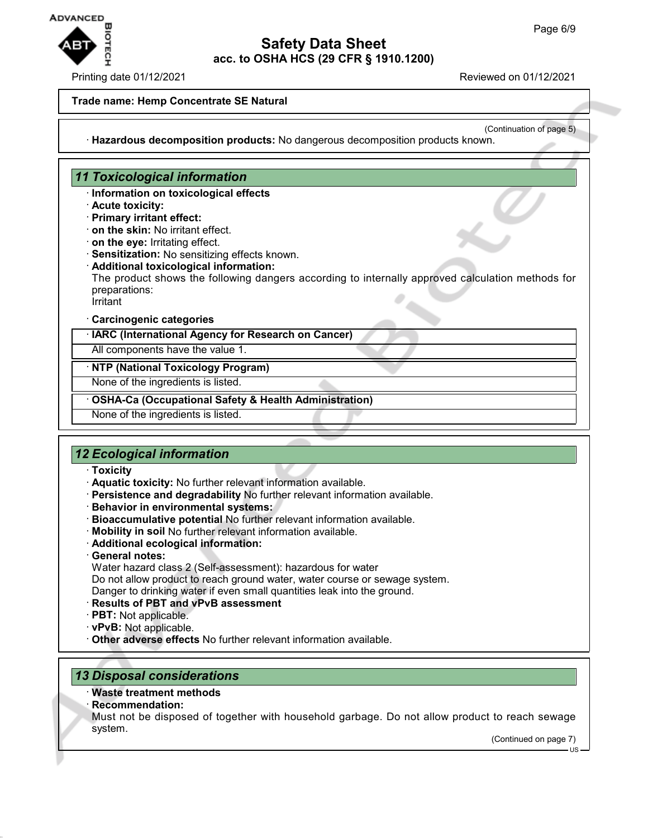

#### Printing date 01/12/2021 **Reviewed on 01/12/2021**

#### **Trade name: Hemp Concentrate SE Natural**

(Continuation of page 5)

· **Hazardous decomposition products:** No dangerous decomposition products known.

## *11 Toxicological information*

- · **Information on toxicological effects**
- · **Acute toxicity:**
- · **Primary irritant effect:**
- · **on the skin:** No irritant effect.
- · **on the eye:** Irritating effect.
- · **Sensitization:** No sensitizing effects known.
- · **Additional toxicological information:**
- The product shows the following dangers according to internally approved calculation methods for preparations:
- Irritant

#### · **Carcinogenic categories**

· **IARC (International Agency for Research on Cancer)**

All components have the value 1.

### · **NTP (National Toxicology Program)**

None of the ingredients is listed.

· **OSHA-Ca (Occupational Safety & Health Administration)**

None of the ingredients is listed.

## *12 Ecological information*

#### · **Toxicity**

- · **Aquatic toxicity:** No further relevant information available.
- · **Persistence and degradability** No further relevant information available.
- · **Behavior in environmental systems:**
- · **Bioaccumulative potential** No further relevant information available.
- · **Mobility in soil** No further relevant information available.
- · **Additional ecological information:**
- · **General notes:**
- Water hazard class 2 (Self-assessment): hazardous for water

Do not allow product to reach ground water, water course or sewage system. Danger to drinking water if even small quantities leak into the ground.

- · **Results of PBT and vPvB assessment**
- · **PBT:** Not applicable.
- · **vPvB:** Not applicable.
- · **Other adverse effects** No further relevant information available.

## *13 Disposal considerations*

- · **Waste treatment methods**
- · **Recommendation:**
- Must not be disposed of together with household garbage. Do not allow product to reach sewage system.

(Continued on page 7)

US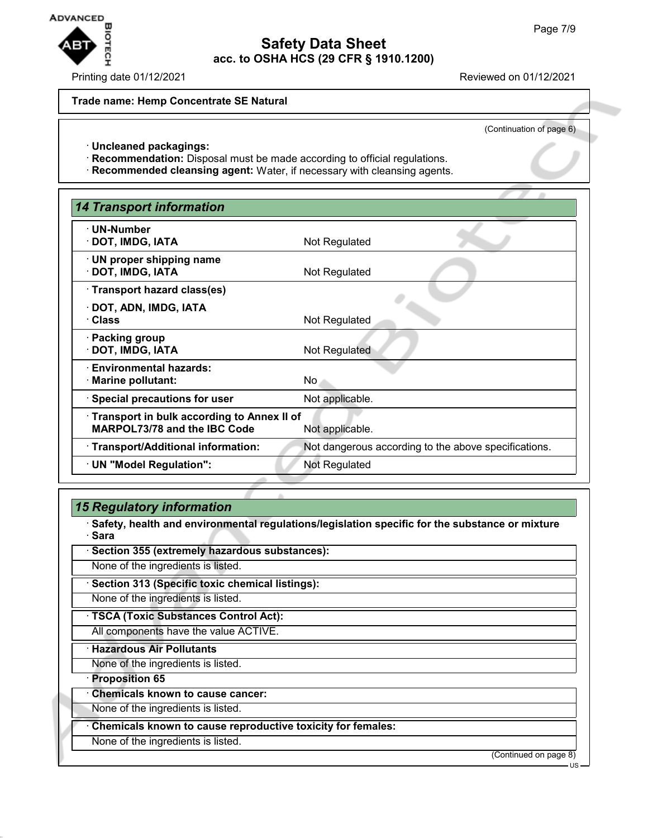

### Printing date 01/12/2021 Reviewed on 01/12/2021

#### **Trade name: Hemp Concentrate SE Natural**

(Continuation of page 6)

- · **Uncleaned packagings:**
- · **Recommendation:** Disposal must be made according to official regulations.
- · **Recommended cleansing agent:** Water, if necessary with cleansing agents.

| <b>14 Transport information</b>                                                                      |                                                      |  |  |
|------------------------------------------------------------------------------------------------------|------------------------------------------------------|--|--|
| · UN-Number<br>· DOT, IMDG, IATA                                                                     | Not Regulated                                        |  |  |
| · UN proper shipping name<br>· DOT, IMDG, IATA                                                       | Not Regulated                                        |  |  |
| · Transport hazard class(es)                                                                         |                                                      |  |  |
| · DOT, ADN, IMDG, IATA<br>· Class                                                                    | Not Regulated                                        |  |  |
| · Packing group<br>· DOT, IMDG, IATA                                                                 | Not Regulated                                        |  |  |
| · Environmental hazards:<br>· Marine pollutant:                                                      | No.                                                  |  |  |
| $\cdot$ Special precautions for user                                                                 | Not applicable.                                      |  |  |
| Transport in bulk according to Annex II of<br><b>MARPOL73/78 and the IBC Code</b><br>Not applicable. |                                                      |  |  |
| · Transport/Additional information:                                                                  | Not dangerous according to the above specifications. |  |  |
| · UN "Model Regulation":                                                                             | Not Regulated                                        |  |  |
|                                                                                                      |                                                      |  |  |

## *15 Regulatory information*

· **Safety, health and environmental regulations/legislation specific for the substance or mixture** · **Sara**

| · Section 355 (extremely hazardous substances):             |  |  |
|-------------------------------------------------------------|--|--|
| None of the ingredients is listed.                          |  |  |
| · Section 313 (Specific toxic chemical listings):           |  |  |
| None of the ingredients is listed.                          |  |  |
| · TSCA (Toxic Substances Control Act):                      |  |  |
| All components have the value ACTIVE.                       |  |  |
| <b>Hazardous Air Pollutants</b>                             |  |  |
| None of the ingredients is listed.                          |  |  |
| · Proposition 65                                            |  |  |
| <b>Chemicals known to cause cancer:</b>                     |  |  |
| None of the ingredients is listed.                          |  |  |
| Chemicals known to cause reproductive toxicity for females: |  |  |
| None of the ingredients is listed.                          |  |  |

(Continued on page 8) US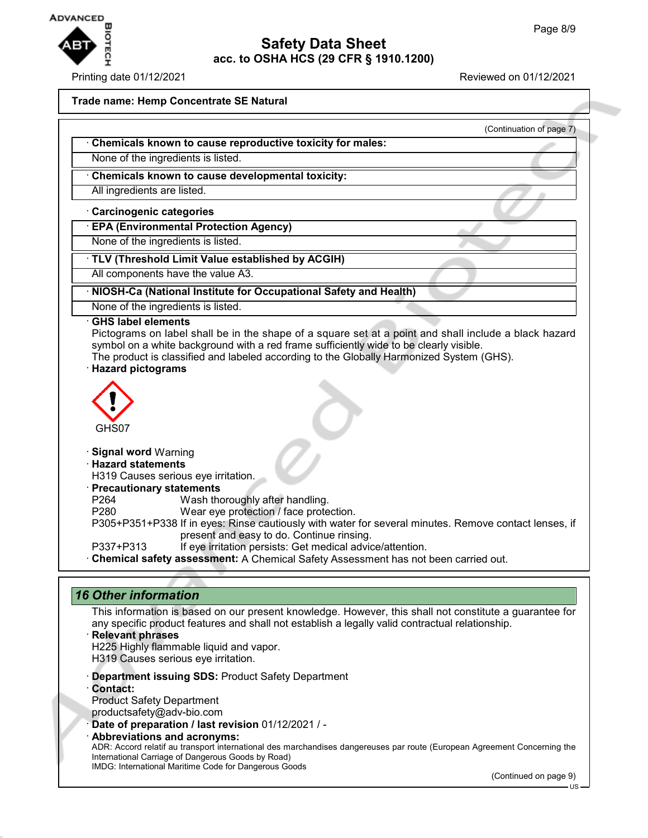

### Printing date 01/12/2021 Reviewed on 01/12/2021

(Continuation of page 7)

#### **Trade name: Hemp Concentrate SE Natural**

- · **Chemicals known to cause reproductive toxicity for males:**
- None of the ingredients is listed.
- · **Chemicals known to cause developmental toxicity:**
- All ingredients are listed.
- · **Carcinogenic categories**
- · **EPA (Environmental Protection Agency)**
- None of the ingredients is listed.
- · **TLV (Threshold Limit Value established by ACGIH)**
- All components have the value A3.
- · **NIOSH-Ca (National Institute for Occupational Safety and Health)**
- None of the ingredients is listed.
- · **GHS label elements**
- Pictograms on label shall be in the shape of a square set at a point and shall include a black hazard symbol on a white background with a red frame sufficiently wide to be clearly visible. The product is classified and labeled according to the Globally Harmonized System (GHS).
- · **Hazard pictograms**



#### · **Signal word** Warning

- · **Hazard statements**
- H319 Causes serious eye irritation.
- · **Precautionary statements**
- P264 Wash thoroughly after handling.
- P280 Wear eye protection / face protection.
- P305+P351+P338 If in eyes: Rinse cautiously with water for several minutes. Remove contact lenses, if present and easy to do. Continue rinsing.
- P337+P313 If eye irritation persists: Get medical advice/attention.
- · **Chemical safety assessment:** A Chemical Safety Assessment has not been carried out.

## *16 Other information*

- This information is based on our present knowledge. However, this shall not constitute a guarantee for any specific product features and shall not establish a legally valid contractual relationship.
- · **Relevant phrases** H225 Highly flammable liquid and vapor. H319 Causes serious eye irritation.
- · **Department issuing SDS:** Product Safety Department
- · **Contact:**
- Product Safety Department productsafety@adv-bio.com
- · **Date of preparation / last revision** 01/12/2021 / -
- · **Abbreviations and acronyms:** ADR: Accord relatif au transport international des marchandises dangereuses par route (European Agreement Concerning the International Carriage of Dangerous Goods by Road) IMDG: International Maritime Code for Dangerous Goods

(Continued on page 9)